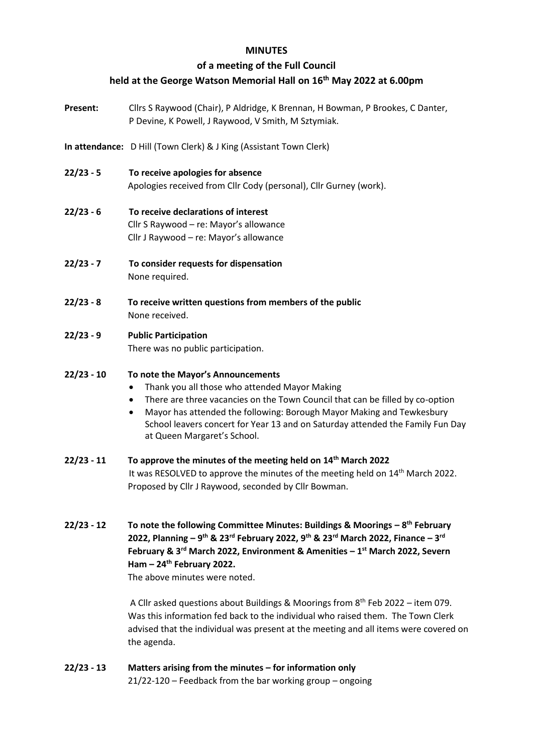### **MINUTES**

# **of a meeting of the Full Council**

# **held at the George Watson Memorial Hall on 16 th May 2022 at 6.00pm**

- Present: Cllrs S Raywood (Chair), P Aldridge, K Brennan, H Bowman, P Brookes, C Danter, P Devine, K Powell, J Raywood, V Smith, M Sztymiak.
- **In attendance:** D Hill (Town Clerk) & J King (Assistant Town Clerk)
- **22/23 - 5 To receive apologies for absence** Apologies received from Cllr Cody (personal), Cllr Gurney (work).
- **22/23 - 6 To receive declarations of interest** Cllr S Raywood – re: Mayor's allowance Cllr J Raywood – re: Mayor's allowance
- **22/23 - 7 To consider requests for dispensation**  None required.
- **22/23 - 8 To receive written questions from members of the public** None received.
- **22/23 - 9 Public Participation**

There was no public participation.

## **22/23 - 10 To note the Mayor's Announcements**

- Thank you all those who attended Mayor Making
- There are three vacancies on the Town Council that can be filled by co-option
- Mayor has attended the following: Borough Mayor Making and Tewkesbury School leavers concert for Year 13 and on Saturday attended the Family Fun Day at Queen Margaret's School.

### **22/23 - 11 To approve the minutes of the meeting held on 14 th March 2022** It was RESOLVED to approve the minutes of the meeting held on 14<sup>th</sup> March 2022. Proposed by Cllr J Raywood, seconded by Cllr Bowman.

**22/23 - 12 To note the following Committee Minutes: Buildings & Moorings – 8 th February 2022, Planning – 9 th & 23rd February 2022, 9th & 23rd March 2022, Finance – 3 rd February & 3rd March 2022, Environment & Amenities – 1 st March 2022, Severn Ham – 24th February 2022.**

The above minutes were noted.

A Cllr asked questions about Buildings & Moorings from 8th Feb 2022 – item 079. Was this information fed back to the individual who raised them. The Town Clerk advised that the individual was present at the meeting and all items were covered on the agenda.

**22/23 - 13 Matters arising from the minutes – for information only** 21/22-120 – Feedback from the bar working group – ongoing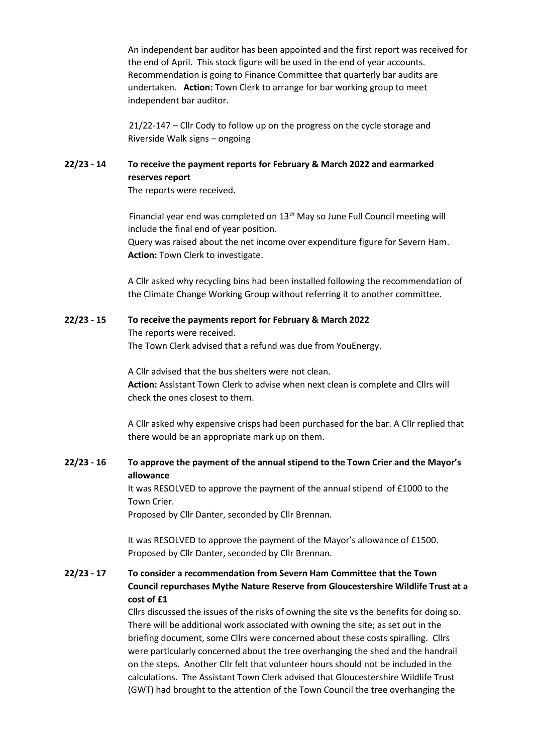An independent bar auditor has been appointed and the first report was received for the end of April. This stock figure will be used in the end of year accounts. Recommendation is going to Finance Committee that quarterly bar audits are undertaken. **Action:** Town Clerk to arrange for bar working group to meet independent bar auditor.

21/22-147 – Cllr Cody to follow up on the progress on the cycle storage and Riverside Walk signs – ongoing

## **22/23 - 14 To receive the payment reports for February & March 2022 and earmarked reserves report**

The reports were received.

Financial year end was completed on 13<sup>th</sup> May so June Full Council meeting will include the final end of year position. Query was raised about the net income over expenditure figure for Severn Ham.

**Action:** Town Clerk to investigate.

A Cllr asked why recycling bins had been installed following the recommendation of the Climate Change Working Group without referring it to another committee.

#### **22/23 - 15 To receive the payments report for February & March 2022**

The reports were received.

The Town Clerk advised that a refund was due from YouEnergy.

A Cllr advised that the bus shelters were not clean. **Action:** Assistant Town Clerk to advise when next clean is complete and Cllrs will check the ones closest to them.

A Cllr asked why expensive crisps had been purchased for the bar. A Cllr replied that there would be an appropriate mark up on them.

### **22/23 - 16 To approve the payment of the annual stipend to the Town Crier and the Mayor's allowance**

It was RESOLVED to approve the payment of the annual stipend of £1000 to the Town Crier.

Proposed by Cllr Danter, seconded by Cllr Brennan.

It was RESOLVED to approve the payment of the Mayor's allowance of £1500. Proposed by Cllr Danter, seconded by Cllr Brennan.

## **22/23 - 17 To consider a recommendation from Severn Ham Committee that the Town Council repurchases Mythe Nature Reserve from Gloucestershire Wildlife Trust at a cost of £1**

Cllrs discussed the issues of the risks of owning the site vs the benefits for doing so. There will be additional work associated with owning the site; as set out in the briefing document, some Cllrs were concerned about these costs spiralling. Cllrs were particularly concerned about the tree overhanging the shed and the handrail on the steps. Another Cllr felt that volunteer hours should not be included in the calculations. The Assistant Town Clerk advised that Gloucestershire Wildlife Trust (GWT) had brought to the attention of the Town Council the tree overhanging the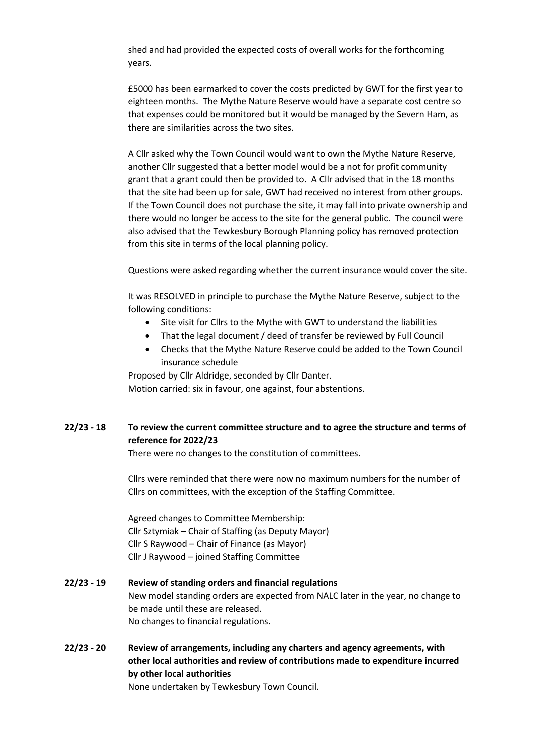shed and had provided the expected costs of overall works for the forthcoming years.

£5000 has been earmarked to cover the costs predicted by GWT for the first year to eighteen months. The Mythe Nature Reserve would have a separate cost centre so that expenses could be monitored but it would be managed by the Severn Ham, as there are similarities across the two sites.

A Cllr asked why the Town Council would want to own the Mythe Nature Reserve, another Cllr suggested that a better model would be a not for profit community grant that a grant could then be provided to. A Cllr advised that in the 18 months that the site had been up for sale, GWT had received no interest from other groups. If the Town Council does not purchase the site, it may fall into private ownership and there would no longer be access to the site for the general public. The council were also advised that the Tewkesbury Borough Planning policy has removed protection from this site in terms of the local planning policy.

Questions were asked regarding whether the current insurance would cover the site.

It was RESOLVED in principle to purchase the Mythe Nature Reserve, subject to the following conditions:

- Site visit for Cllrs to the Mythe with GWT to understand the liabilities
- That the legal document / deed of transfer be reviewed by Full Council
- Checks that the Mythe Nature Reserve could be added to the Town Council insurance schedule

Proposed by Cllr Aldridge, seconded by Cllr Danter. Motion carried: six in favour, one against, four abstentions.

# **22/23 - 18 To review the current committee structure and to agree the structure and terms of reference for 2022/23**

There were no changes to the constitution of committees.

Cllrs were reminded that there were now no maximum numbers for the number of Cllrs on committees, with the exception of the Staffing Committee.

Agreed changes to Committee Membership: Cllr Sztymiak – Chair of Staffing (as Deputy Mayor) Cllr S Raywood – Chair of Finance (as Mayor) Cllr J Raywood – joined Staffing Committee

## **22/23 - 19 Review of standing orders and financial regulations** New model standing orders are expected from NALC later in the year, no change to be made until these are released. No changes to financial regulations.

**22/23 - 20 Review of arrangements, including any charters and agency agreements, with other local authorities and review of contributions made to expenditure incurred by other local authorities** None undertaken by Tewkesbury Town Council.